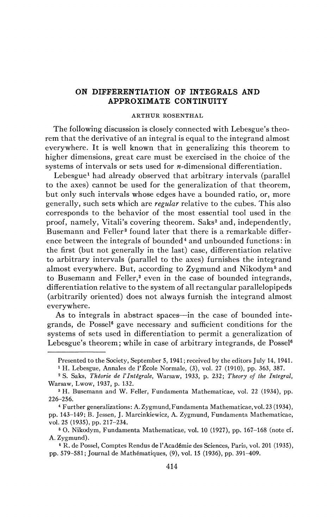## **ON DIFFERENTIATION OF INTEGRALS AND APPROXIMATE CONTINUITY**

## ARTHUR ROSENTHAL

The following discussion is closely connected with Lebesgue's theorem that the derivative of an integral is equal to the integrand almost everywhere. It is well known that in generalizing this theorem to higher dimensions, great care must be exercised in the choice of the systems of intervals or sets used for  $n$ -dimensional differentiation.

Lebesgue<sup>1</sup> had already observed that arbitrary intervals (parallel to the axes) cannot be used for the generalization of that theorem, but only such intervals whose edges have a bounded ratio, or, more generally, such sets which are *regular* relative to the cubes. This also corresponds to the behavior of the most essential tool used in the proof, namely, Vitali's covering theorem. Saks<sup>2</sup> and, independently, Busemann and Feller<sup>3</sup> found later that there is a remarkable difference between the integrals of bounded<sup>4</sup> and unbounded functions: in the first (but not generally in the last) case, differentiation relative to arbitrary intervals (parallel to the axes) furnishes the integrand almost everywhere. But, according to Zygmund and Nikodym<sup>5</sup> and to Busemann and Feller,<sup>3</sup> even in the case of bounded integrands, differentiation relative to the system of all rectangular parallelopipeds (arbitrarily oriented) does not always furnish the integrand almost everywhere.

As to integrals in abstract spaces—in the case of bounded integrands, de Possel<sup>6</sup> gave necessary and sufficient conditions for the systems of sets used in differentiation to permit a generalization of Lebesgue's theorem; while in case of arbitrary integrands, de Possel<sup>6</sup>

Presented to the Society, September 5, 1941 ; received by the editors July 14, 1941.

<sup>1</sup> H. Lebesgue, Annales de l'École Normale, (3), vol. 27 (1910), pp. 363, 387.

<sup>2</sup> S. Saks, *Théorie de VIntégrale,* Warsaw, 1933, p. 232; *Theory of the Integral,*  Warsaw, Lwow, 1937, p. 132.

<sup>3</sup> H. Busemann and W. Feller, Fundamenta Mathematicae, vol. 22 (1934), pp. 226-256.

<sup>4</sup> Further generalizations: A. Zygmund,Fundamenta Mathematicae, vol. 23 (1934), pp. 143-149; B. Jessen, J. Marcinkiewicz, A. Zygmund, Fundamenta Mathematicae, vol. 25 (1935), pp. 217-234.

<sup>5</sup> O. Nikodym, Fundamenta Mathematicae, vol. 10 (1927), pp. 167-168 (note cf. A. Zygmund).

<sup>6</sup> R. de Possel, Comptes Rendus de l'Académie des Sciences, Paris, vol. 201 (1935), pp. 579-581; Journal de Mathématiques, (9), vol. 15 (1936), pp. 391-409.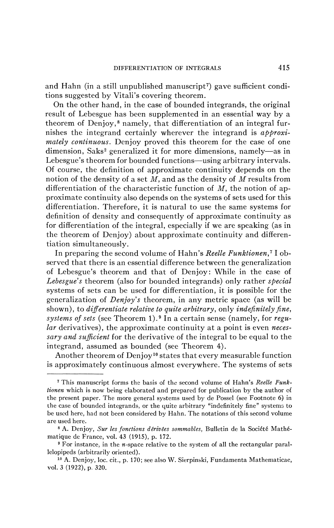and Hahn (in a still unpublished manuscript<sup>7</sup> ) gave sufficient conditions suggested by Vitali's covering theorem.

On the other hand, in the case of bounded integrands, the original result of Lebesgue has been supplemented in an essential way by a theorem of Denjoy,<sup>8</sup> namely, that differentiation of an integral furnishes the integrand certainly wherever the integrand is *approximately continuous.* Denjoy proved this theorem for the case of one dimension, Saks<sup>2</sup> generalized it for more dimensions, namely-as in Lebesgue's theorem for bounded functions—using arbitrary intervals. Of course, the definition of approximate continuity depends on the notion of the density of a set *M,* and as the density of *M* results from differentiation of the characteristic function of *M,* the notion of approximate continuity also depends on the systems of sets used for this differentiation. Therefore, it is natural to use the same systems for definition of density and consequently of approximate continuity as for differentiation of the integral, especially if we are speaking (as in the theorem of Denjoy) about approximate continuity and differentiation simultaneously.

In preparing the second volume of Hahn's *Réelle Funktionen,<sup>7</sup>* 1 observed that there is an essential difference between the generalization of Lebesgue's theorem and that of Denjoy: While in the case of *Lebesgue's* theorem (also for bounded integrands) only rather *special* systems of sets can be used for differentiation, it is possible for the generalization of *Denjoy's* theorem, in any metric space (as will be shown), to *differentiate relative to quite arbitrary,* only *indefinitely fine, systems of sets* (see Theorem l). <sup>9</sup> In a certain sense (namely, for *regular* derivatives), the approximate continuity at a point is even *necessary and sufficient* for the derivative of the integral to be equal to the integrand, assumed as bounded (see Theorem 4).

Another theorem of Denjoy<sup>10</sup> states that every measurable function is approximately continuous almost everywhere. The systems of sets

<sup>7</sup> This manuscript forms the basis of the second volume of Hahn's *Réelle Funktionen* which is now being elaborated and prepared for publication by the author of the present paper. The more general systems used by de Possel (see Footnote 6) in the case of bounded integrands, or the quite arbitrary "indefinitely fine" systems to be used here, had not been considered by Hahn. The notations of this second volume are used here.

<sup>8</sup> A. Denjoy, *Sur les fonctions dérivées sommables,* Bulletin de la Société Mathématique de France, vol. 43 (1915), p. 172.

<sup>&</sup>lt;sup>9</sup> For instance, in the *n*-space relative to the system of all the rectangular parallelopipeds (arbitrarily oriented).

<sup>10</sup> A. Denjoy, loc. cit., p. 170; see also W. Sierpinski, Fundamenta Mathematicae, vol. 3 (1922), p. 320.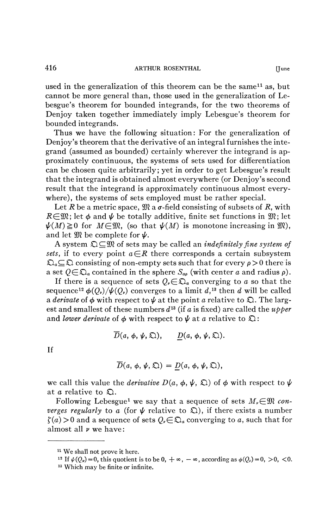used in the generalization of this theorem can be the same<sup>11</sup> as, but cannot be more general than, those used in the generalization of Lebesgue's theorem for bounded integrands, for the two theorems of Denjoy taken together immediately imply Lebesgue's theorem for bounded integrands.

Thus we have the following situation: For the generalization of Denjoy's theorem that the derivative of an integral furnishes the integrand (assumed as bounded) certainly wherever the integrand is approximately continuous, the systems of sets used for differentiation can be chosen quite arbitrarily; yet in order to get Lebesgue's result that the integrand is obtained almost everywhere (or Denjoy's second result that the integrand is approximately continuous almost everywhere), the systems of sets employed must be rather special.

Let *R* be a metric space,  $\mathfrak{M}$  a  $\sigma$ -field consisting of subsets of *R*, with  $R\in\mathfrak{M}$ ; let  $\phi$  and  $\psi$  be totally additive, finite set functions in  $\mathfrak{M}$ ; let  $\psi(M) \ge 0$  for  $M \in \mathfrak{M}$ , (so that  $\psi(M)$  is monotone increasing in  $\mathfrak{M}$ ), and let  $\mathfrak{M}$  be complete for  $\psi$ .

A system  $\mathfrak{Q} \subseteq \mathfrak{M}$  of sets may be called an *indefinitely fine system of sets,* if to every point  $a \in \mathbb{R}$  there corresponds a certain subsystem  $\mathfrak{Q}_a \subseteq \mathfrak{Q}$  consisting of non-empty sets such that for every  $\rho > 0$  there is a set  $Q \in \mathfrak{D}_a$  contained in the sphere  $S_{ab}$  (with center a and radius  $\rho$ ).

If there is a sequence of sets  $Q_r \in \mathfrak{D}_a$  converging to a so that the sequence<sup>12</sup>  $\phi(Q_\nu)/\psi(Q_\nu)$  converges to a limit  $d,$ <sup>13</sup> then  $d$  will be called a *derivate* of  $\phi$  with respect to  $\psi$  at the point *a* relative to  $\mathfrak{D}$ . The largest and smallest of these numbers  $d^{13}$  (if a is fixed) are called the  $\mu p \rho e r$ and *lower derivate* of  $\phi$  with respect to  $\psi$  at *a* relative to  $\mathfrak{Q}$ :

$$
\overline{D}(a, \phi, \psi, \mathfrak{Q}), \qquad \underline{D}(a, \phi, \psi, \mathfrak{Q}).
$$

If

$$
\overline{D}(a, \phi, \psi, \mathfrak{Q}) = \underline{D}(a, \phi, \psi, \mathfrak{Q}),
$$

we call this value the *derivative*  $D(a, \phi, \psi, \Omega)$  of  $\phi$  with respect to  $\psi$ at *a* relative to Q .

Following Lebesgue<sup>1</sup> we say that a sequence of sets  $M_r \in \mathfrak{M}$  con*verges regularly* to a (for  $\psi$  relative to  $\Omega$ ), if there exists a number  $f(a) > 0$  and a sequence of sets  $Q_{\nu} \in \mathfrak{D}_a$  converging to a, such that for almost all *v* we have :

We shall not prove it here.

<sup>&</sup>lt;sup>12</sup> If  $\psi(Q_v) = 0$ , this quotient is to be 0,  $+\infty$ ,  $-\infty$ , according as  $\phi(Q_v) = 0$ ,  $> 0$ , <0.

Which may be finite or infinite.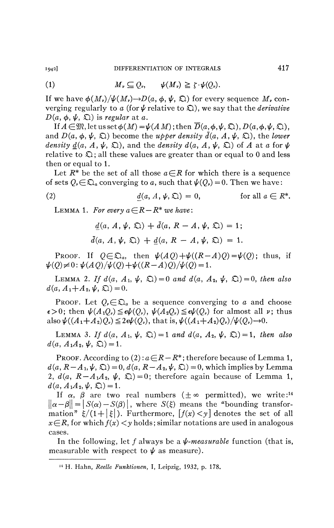(1) 
$$
M_{\nu} \subseteq Q_{\nu}, \qquad \psi(M_{\nu}) \geq \zeta \cdot \psi(Q_{\nu}).
$$

If we have  $\phi(M_\nu)/\psi(M_\nu) \rightarrow D(a, \phi, \psi, \mathfrak{Q})$  for every sequence  $M_\nu$  converging regularly to *a* (for  $\psi$  relative to  $\Omega$ ), we say that the *derivative*  $D(a, \phi, \psi, \Omega)$  is *regular* at a.

If  $A\!\in\!\mathfrak{M},$  let us set  $\phi(M)\!=\!\psi(A\,M)$ ; then  $D(a,\phi,\psi,\mathfrak{Q}),$   $D(a,\phi,\psi,\mathfrak{Q}),$ and  $D(a, \phi, \psi, \mathfrak{Q})$  become the *upper density*  $\bar{d}(a, A, \psi, \mathfrak{Q})$ , the *lower density d(a, A,*  $\psi$ *,*  $\mathfrak{D}$ *), and the <i>density d(a, A,*  $\psi$ *,*  $\mathfrak{D}$ *)* of A at a for  $\psi$ relative to  $\mathfrak{Q}$ ; all these values are greater than or equal to 0 and less then or equal to 1.

Let  $R^*$  be the set of all those  $a \in R$  for which there is a sequence of sets  $Q_{\nu} \in \mathfrak{Q}_a$  converging to a, such that  $\psi(Q_{\nu}) = 0$ . Then we have:

(2) 
$$
\underline{d}(a, A, \psi, \mathfrak{Q}) = 0, \qquad \text{for all } a \in \mathbb{R}^*.
$$

LEMMA 1. For every  $a \in R - R^*$  we have:

$$
\underline{d}(a, A, \psi, \mathfrak{Q}) + d(a, R - A, \psi, \mathfrak{Q}) = 1;
$$
  

$$
\overline{d}(a, A, \psi, \mathfrak{Q}) + \underline{d}(a, R - A, \psi, \mathfrak{Q}) = 1.
$$

PROOF. If  $Q \in \mathfrak{D}_a$ , then  $\psi(AQ) + \psi((R-A)Q) = \psi(Q)$ ; thus, if  $\psi(Q) \neq 0: \psi(AQ)/\psi(Q) + \psi((R-A)Q)/\psi(Q) = 1.$ 

LEMMA 2. If  $d(a, A_1, \psi, \mathfrak{Q}) = 0$  and  $d(a, A_2, \psi, \mathfrak{Q}) = 0$ , then also  $d(a, A_1 + A_2, \psi, \mathfrak{Q}) = 0.$ 

PROOF. Let  $Q_{\nu} \in \mathfrak{D}_a$  be a sequence converging to a and choose  $\epsilon > 0$ ; then  $\psi(A_1Q_\nu) \leq \epsilon \psi(Q_\nu)$ ,  $\psi(A_2Q_\nu) \leq \epsilon \psi(Q_\nu)$  for almost all  $\nu$ ; thus also  $\psi((A_1+A_2)Q_v)\leq 2\epsilon\psi(Q_v)$ , that is,  $\psi((A_1+A_2)Q_v)/\psi(Q_v) \rightarrow 0$ .

LEMMA 3. If  $d(a, A_1, \psi, \mathfrak{Q}) = 1$  and  $d(a, A_2, \psi, \mathfrak{Q}) = 1$ , then also  $d(a, A_1A_2, \psi, \Omega) = 1.$ 

PROOF. According to  $(2): a \in \mathbb{R} - \mathbb{R}^*$ ; therefore because of Lemma 1,  $d(a, R - A_1, \psi, \mathfrak{Q}) = 0, d(a, R - A_2, \psi, \mathfrak{Q}) = 0$ , which implies by Lemma 2,  $d(a, R - A_1A_2, \psi, \Omega) = 0$ ; therefore again because of Lemma 1,  $d(a, A_1A_2, \psi, \Omega) = 1.$ 

If  $\alpha$ ,  $\beta$  are two real numbers ( $\pm \infty$  permitted), we write:<sup>14</sup>  $||\alpha - \beta|| = |S(\alpha) - S(\beta)|$ , where  $S(\xi)$  means the "bounding transformation"  $\xi/(1+|\xi|)$ . Furthermore,  $[f(x) < y]$  denotes the set of all  $x \in R$ , for which  $f(x) < y$  holds; similar notations are used in analogous cases.

In the following, let f always be a  $\psi$ -measurable function (that is, measurable with respect to  $\psi$  as measure).

<sup>14</sup> H. Hahn, *Réelle Funktionen,* I, Leipzig, 1932, p. 178.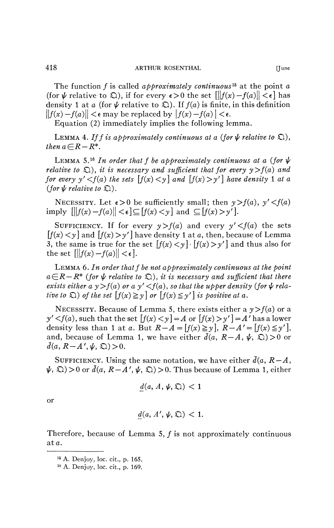The function ƒ is called *approximately continuous<sup>1</sup> \** at the point *a*  (for  $\psi$  relative to  $\Omega$ ), if for every  $\epsilon > 0$  the set  $\|f(x) - f(a)\| < \epsilon$  has density 1 at *a* (for  $\psi$  relative to  $\Omega$ ). If  $f(a)$  is finite, in this definition  $||f(x) - f(a)|| < \epsilon$  may be replaced by  $|f(x) - f(a)| < \epsilon$ .

Equation (2) immediately implies the following lemma.

LEMMA 4. If f is approximately continuous at a (for  $\psi$  relative to  $\mathfrak{D}$ ), *then*  $a \in R - R^*$ .

LEMMA 5.<sup>16</sup> In order that f be approximately continuous at a (for  $\psi$ *relative to*  $\Omega$ ), *it is necessary and sufficient that for every*  $y > f(a)$  *and for every y'*  $\lt f(a)$  the sets  $[f(x) \lt y]$  and  $[f(x) > y']$  have density 1 at a *(for*  $\psi$  *relative to*  $\Omega$ ).

NECESSITY. Let  $\epsilon > 0$  be sufficiently small; then  $y > f(a)$ ,  $y' < f(a)$ imply  $\|f(x)-f(a)\|<\epsilon\leq[f(x)<y]$  and  $\subseteq[f(x)>y']$ .

SUFFICIENCY. If for every  $y > f(a)$  and every  $y' < f(a)$  the sets  $[f(x) < y]$  and  $[f(x) > y']$  have density 1 at a, then, because of Lemma 3, the same is true for the set  $[f(x) < y] \cdot [f(x) > y']$  and thus also for the set  $\left|\left| \left| f(x) - f(a) \right| \right| < \epsilon \right|$ .

LEMMA 6. *In order that f be not approximately continuous at the point*   $a\in R - R^*$  (for  $\psi$  relative to  $\mathfrak{D}$ ), it is necessary and sufficient that there *exists either a y > f(a) or a y'* < *f(a), so that the upper density (for*  $\psi$  *relative to*  $\Omega$ ) *of the set*  $[f(x) \geq y]$  *or*  $[f(x) \leq y']$  *is positive at a.* 

NECESSITY. Because of Lemma 5, there exists either a  $y > f(a)$  or a  $y' < f(a)$ , such that the set  $[f(x) < y] = A$  or  $[f(x) > y'] = A'$  has a lower density less than 1 at *a*. But  $R - A = [f(x) \ge y], R - A' = [f(x) \le y']$ , and, because of Lemma 1, we have either  $\bar{d}(a, R-A, \psi, \mathcal{Q}) > 0$  or  $\bar{d}(a, R-A', \psi, \mathfrak{Q}) > 0.$ 

SUFFICIENCY. Using the same notation, we have either  $\bar{d}(a, R - A, \bar{b})$  $\psi$ ,  $\Omega$ ) > 0 or  $\bar{d}(a, R - A', \psi, \Omega)$  > 0. Thus because of Lemma 1, either

$$
d(a, A, \psi, \mathfrak{Q}) < 1
$$

or

$$
\underline{d}(a, A', \psi, \mathfrak{Q}) < 1.
$$

Therefore, because of Lemma 5,  $f$  is not approximately continuous at a.

<sup>15</sup> A. Denjoy, loc. cit., p. 165.

<sup>16</sup> A. Denjoy, loc. cit., p. 169.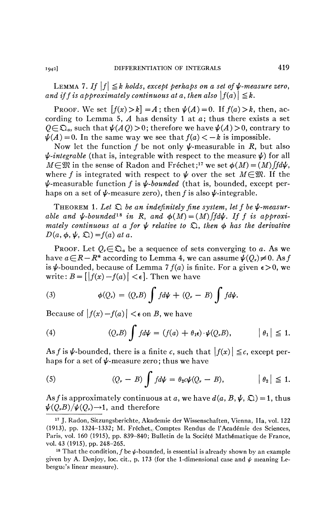LEMMA 7. If  $|f| \leq k$  holds, except perhaps on a set of  $\psi$ -measure zero, *and if f is approximately continuous at a, then also*  $|f(a)| \leq k$ .

PROOF. We set  $[f(x) > k] = A$ ; then  $\psi(A) = 0$ . If  $f(a) > k$ , then, according to Lemma 5, *A* has density 1 at a; thus there exists a set  $Q \in \mathfrak{Q}_a$ , such that  $\psi(AQ) > 0$ ; therefore we have  $\psi(A) > 0$ , contrary to  $\psi(A) = 0$ . In the same way we see that  $f(a) < -k$  is impossible.

Now let the function f be not only  $\psi$ -measurable in R, but also  $\psi$ -integrable (that is, integrable with respect to the measure  $\psi$ ) for all  $M \in \mathfrak{M}$  in the sense of Radon and Fréchet;<sup>17</sup> we set  $\phi(M) = (M) \int f d\psi$ , where f is integrated with respect to  $\psi$  over the set  $M\in\mathfrak{M}$ . If the  $\psi$ -measurable function f is  $\psi$ -bounded (that is, bounded, except perhaps on a set of  $\psi$ -measure zero), then f is also  $\psi$ -integrable.

THEOREM 1. Let  $\mathfrak{D}$  be an indefinitely fine system, let f be  $\psi$ -measurable and  $\psi$ -bounded<sup>18</sup> in R, and  $\phi(M) = (M) \int f d\psi$ . If f is approxi*mately continuous at a for*  $\psi$  relative to  $\mathfrak{D}$ , then  $\phi$  has the derivative  $D(a, \phi, \psi, \Omega) = f(a)$  at a.

PROOF. Let  $Q_{\nu} \in \mathfrak{D}_a$  be a sequence of sets converging to a. As we have  $a \in \mathbb{R} - \mathbb{R}^*$  according to Lemma 4, we can assume  $\psi(Q_r) \neq 0$ . As f is  $\psi$ -bounded, because of Lemma 7  $f(a)$  is finite. For a given  $\epsilon > 0$ , we write:  $B = \left[ |f(x) - f(a)| < \epsilon \right]$ . Then we have

(3) 
$$
\phi(Q_{\nu}) = (Q_{\nu}B) \int f d\psi + (Q_{\nu} - B) \int f d\psi.
$$

Because of  $|f(x) - f(a)| < \epsilon$  on *B*, we have

(4) 
$$
(Q,B)\int f d\psi = (f(a) + \theta_1 \epsilon) \cdot \psi(Q,B), \qquad |\theta_1| \leq 1.
$$

As f is  $\psi$ -bounded, there is a finite c, such that  $|f(x)| \leq c$ , except perhaps for a set of  $\psi$ -measure zero; thus we have

(5) 
$$
(Q_{\nu} - B) \int f d\psi = \theta_2 c \psi (Q_{\nu} - B), \qquad |\theta_2| \leq 1.
$$

As f is approximately continuous at a, we have  $d(a, B, \psi, \mathcal{Q}) = 1$ , thus  $\psi(Q_\nu B)/\psi(Q_\nu) \rightarrow 1$ , and therefore

<sup>17</sup> J. Radon, Sitzungsberichte, Akademie der Wissenschaften, Vienna, lia, vol. 122 (1913), pp. 1324-1332; M. Fréchet,/ Comptes Rendus de l'Académie des Sciences, Paris, vol. 160 (1915), pp. 839-840; Bulletin de la Société Mathématique de France, vol. 43 (1915), pp. 248-265.

<sup>&</sup>lt;sup>18</sup> That the condition,  $f$  be  $\psi$ -bounded, is essential is already shown by an example given by A. Denjoy, loc. cit., p. 173 (for the 1-dimensional case and  $\psi$  meaning Lebesgue's linear measure).